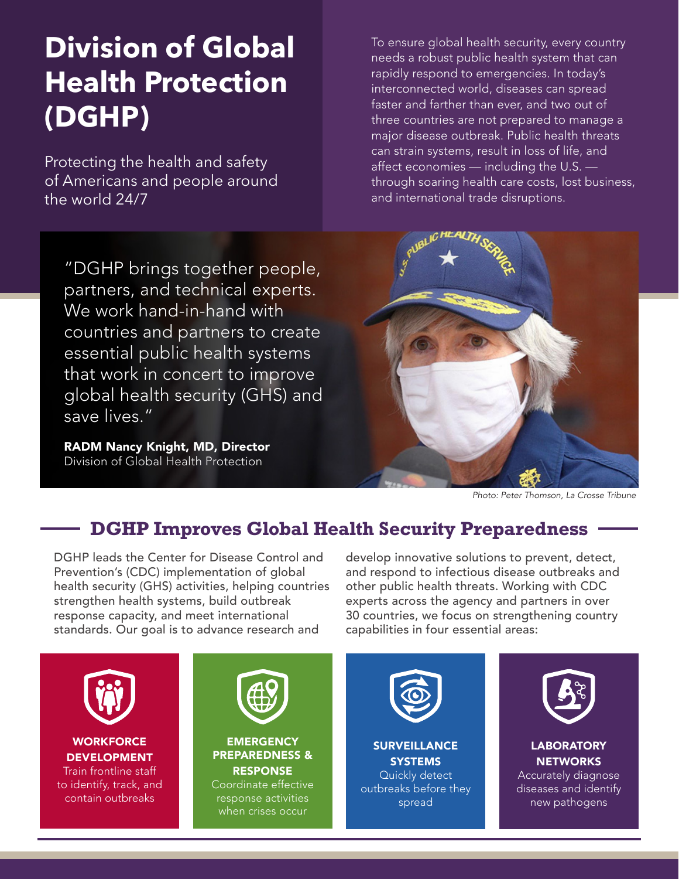# **Division of Global Health Protection (DGHP)**

Protecting the health and safety of Americans and people around the world 24/7

To ensure global health security, every country needs a robust public health system that can rapidly respond to emergencies. In today's interconnected world, diseases can spread faster and farther than ever, and two out of three countries are not prepared to manage a major disease outbreak. Public health threats can strain systems, result in loss of life, and affect economies — including the U.S. through soaring health care costs, lost business, and international trade disruptions.

"DGHP brings together people, partners, and technical experts. We work hand-in-hand with countries and partners to create essential public health systems that work in concert to improve global health security (GHS) and save lives."

RADM Nancy Knight, MD, Director Division of Global Health Protection



*Photo: Peter Thomson, La Crosse Tribune*

# **DGHP Improves Global Health Security Preparedness**

DGHP leads the Center for Disease Control and Prevention's (CDC) implementation of global health security (GHS) activities, helping countries strengthen health systems, build outbreak response capacity, and meet international standards. Our goal is to advance research and

develop innovative solutions to prevent, detect, and respond to infectious disease outbreaks and other public health threats. Working with CDC experts across the agency and partners in over 30 countries, we focus on strengthening country capabilities in four essential areas: